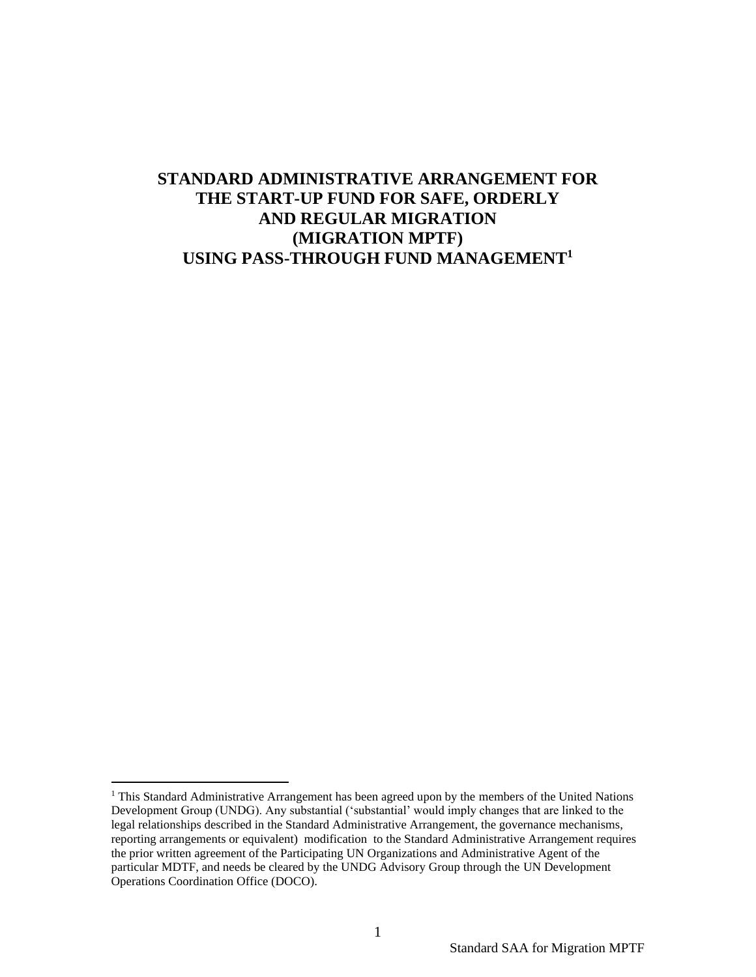# **STANDARD ADMINISTRATIVE ARRANGEMENT FOR THE START-UP FUND FOR SAFE, ORDERLY AND REGULAR MIGRATION (MIGRATION MPTF) USING PASS-THROUGH FUND MANAGEMENT<sup>1</sup>**

 $<sup>1</sup>$  This Standard Administrative Arrangement has been agreed upon by the members of the United Nations</sup> Development Group (UNDG). Any substantial ('substantial' would imply changes that are linked to the legal relationships described in the Standard Administrative Arrangement, the governance mechanisms, reporting arrangements or equivalent) modification to the Standard Administrative Arrangement requires the prior written agreement of the Participating UN Organizations and Administrative Agent of the particular MDTF, and needs be cleared by the UNDG Advisory Group through the UN Development Operations Coordination Office (DOCO).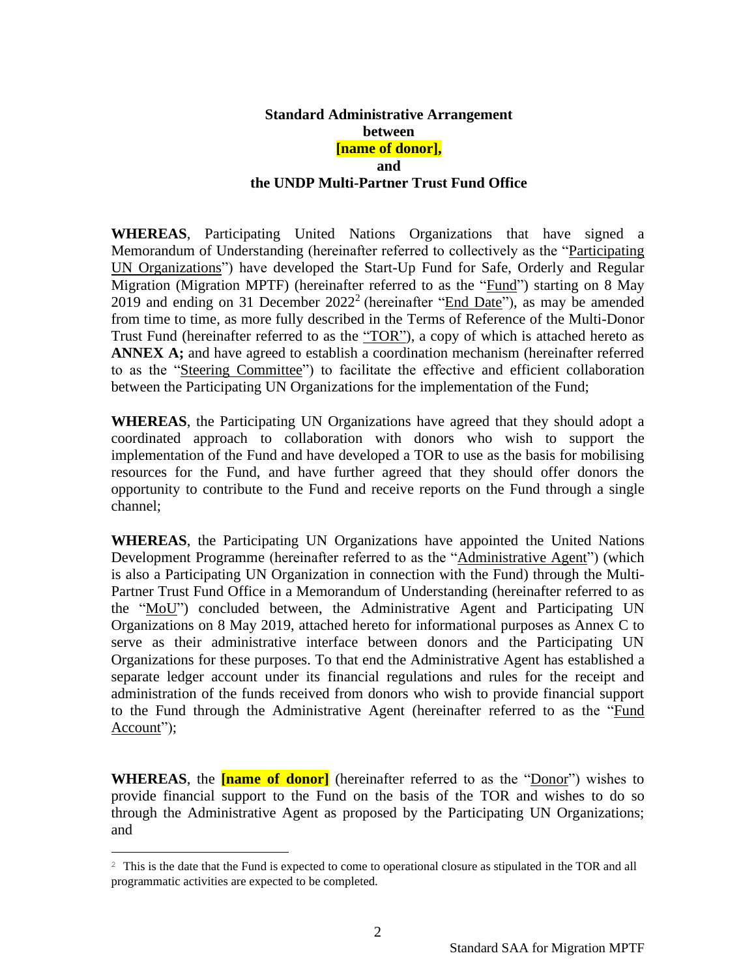#### **Standard Administrative Arrangement between [name of donor], and the UNDP Multi-Partner Trust Fund Office**

**WHEREAS**, Participating United Nations Organizations that have signed a Memorandum of Understanding (hereinafter referred to collectively as the "Participating UN Organizations") have developed the Start-Up Fund for Safe, Orderly and Regular Migration (Migration MPTF) (hereinafter referred to as the "Fund") starting on 8 May 2019 and ending on 31 December  $2022^2$  (hereinafter "End Date"), as may be amended from time to time, as more fully described in the Terms of Reference of the Multi-Donor Trust Fund (hereinafter referred to as the "TOR"), a copy of which is attached hereto as **ANNEX A;** and have agreed to establish a coordination mechanism (hereinafter referred to as the "Steering Committee") to facilitate the effective and efficient collaboration between the Participating UN Organizations for the implementation of the Fund;

**WHEREAS**, the Participating UN Organizations have agreed that they should adopt a coordinated approach to collaboration with donors who wish to support the implementation of the Fund and have developed a TOR to use as the basis for mobilising resources for the Fund, and have further agreed that they should offer donors the opportunity to contribute to the Fund and receive reports on the Fund through a single channel;

**WHEREAS**, the Participating UN Organizations have appointed the United Nations Development Programme (hereinafter referred to as the "Administrative Agent") (which is also a Participating UN Organization in connection with the Fund) through the Multi-Partner Trust Fund Office in a Memorandum of Understanding (hereinafter referred to as the "MoU") concluded between, the Administrative Agent and Participating UN Organizations on 8 May 2019, attached hereto for informational purposes as Annex C to serve as their administrative interface between donors and the Participating UN Organizations for these purposes. To that end the Administrative Agent has established a separate ledger account under its financial regulations and rules for the receipt and administration of the funds received from donors who wish to provide financial support to the Fund through the Administrative Agent (hereinafter referred to as the "Fund Account");

**WHEREAS**, the **[name of donor]** (hereinafter referred to as the "Donor") wishes to provide financial support to the Fund on the basis of the TOR and wishes to do so through the Administrative Agent as proposed by the Participating UN Organizations; and

<sup>&</sup>lt;sup>2</sup> This is the date that the Fund is expected to come to operational closure as stipulated in the TOR and all programmatic activities are expected to be completed.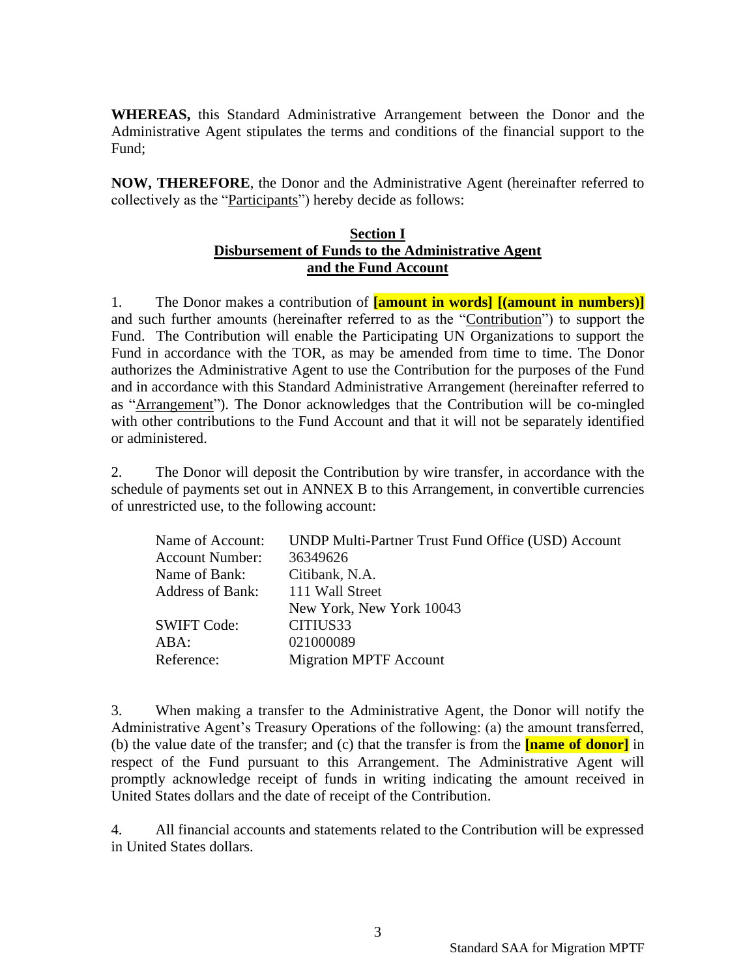**WHEREAS,** this Standard Administrative Arrangement between the Donor and the Administrative Agent stipulates the terms and conditions of the financial support to the Fund;

**NOW, THEREFORE**, the Donor and the Administrative Agent (hereinafter referred to collectively as the "Participants") hereby decide as follows:

# **Section I Disbursement of Funds to the Administrative Agent and the Fund Account**

1. The Donor makes a contribution of **[amount in words] [(amount in numbers)]** and such further amounts (hereinafter referred to as the "Contribution") to support the Fund. The Contribution will enable the Participating UN Organizations to support the Fund in accordance with the TOR, as may be amended from time to time. The Donor authorizes the Administrative Agent to use the Contribution for the purposes of the Fund and in accordance with this Standard Administrative Arrangement (hereinafter referred to as "Arrangement"). The Donor acknowledges that the Contribution will be co-mingled with other contributions to the Fund Account and that it will not be separately identified or administered.

2. The Donor will deposit the Contribution by wire transfer, in accordance with the schedule of payments set out in ANNEX B to this Arrangement, in convertible currencies of unrestricted use, to the following account:

| UNDP Multi-Partner Trust Fund Office (USD) Account |
|----------------------------------------------------|
| 36349626                                           |
| Citibank, N.A.                                     |
| 111 Wall Street                                    |
| New York, New York 10043                           |
| CITIUS33                                           |
| 021000089                                          |
| <b>Migration MPTF Account</b>                      |
|                                                    |

3. When making a transfer to the Administrative Agent, the Donor will notify the Administrative Agent's Treasury Operations of the following: (a) the amount transferred, (b) the value date of the transfer; and (c) that the transfer is from the **[name of donor]** in respect of the Fund pursuant to this Arrangement. The Administrative Agent will promptly acknowledge receipt of funds in writing indicating the amount received in United States dollars and the date of receipt of the Contribution.

4. All financial accounts and statements related to the Contribution will be expressed in United States dollars.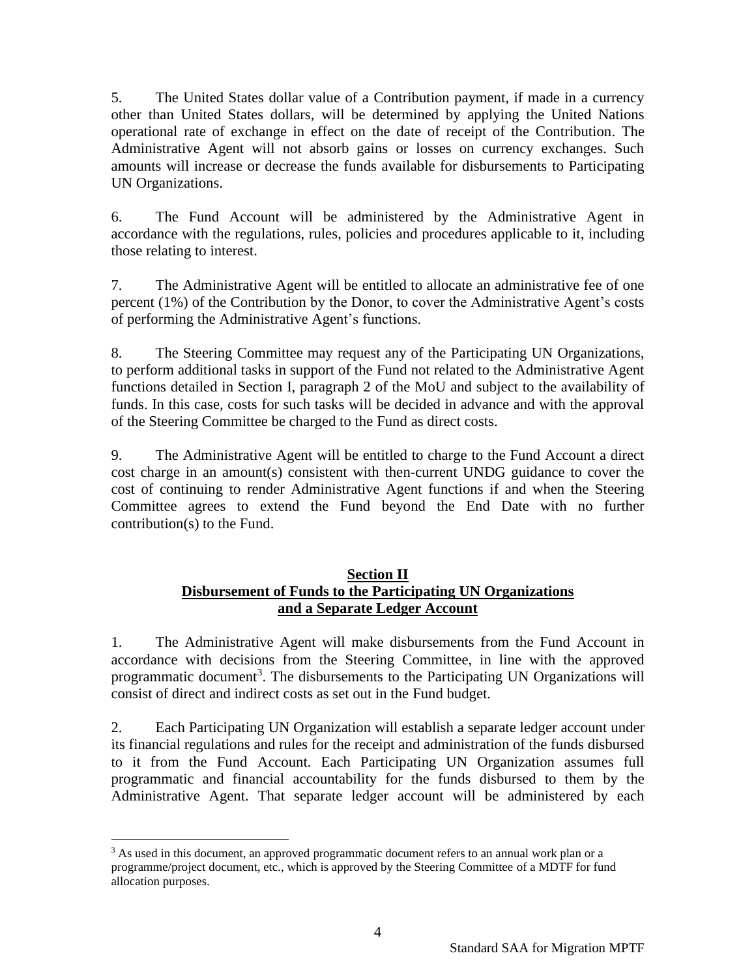5. The United States dollar value of a Contribution payment, if made in a currency other than United States dollars, will be determined by applying the United Nations operational rate of exchange in effect on the date of receipt of the Contribution. The Administrative Agent will not absorb gains or losses on currency exchanges. Such amounts will increase or decrease the funds available for disbursements to Participating UN Organizations.

6. The Fund Account will be administered by the Administrative Agent in accordance with the regulations, rules, policies and procedures applicable to it, including those relating to interest.

7. The Administrative Agent will be entitled to allocate an administrative fee of one percent (1%) of the Contribution by the Donor, to cover the Administrative Agent's costs of performing the Administrative Agent's functions.

8. The Steering Committee may request any of the Participating UN Organizations, to perform additional tasks in support of the Fund not related to the Administrative Agent functions detailed in Section I, paragraph 2 of the MoU and subject to the availability of funds. In this case, costs for such tasks will be decided in advance and with the approval of the Steering Committee be charged to the Fund as direct costs.

9. The Administrative Agent will be entitled to charge to the Fund Account a direct cost charge in an amount(s) consistent with then-current UNDG guidance to cover the cost of continuing to render Administrative Agent functions if and when the Steering Committee agrees to extend the Fund beyond the End Date with no further contribution(s) to the Fund.

# **Section II Disbursement of Funds to the Participating UN Organizations and a Separate Ledger Account**

1. The Administrative Agent will make disbursements from the Fund Account in accordance with decisions from the Steering Committee, in line with the approved programmatic document<sup>3</sup>. The disbursements to the Participating UN Organizations will consist of direct and indirect costs as set out in the Fund budget.

2. Each Participating UN Organization will establish a separate ledger account under its financial regulations and rules for the receipt and administration of the funds disbursed to it from the Fund Account. Each Participating UN Organization assumes full programmatic and financial accountability for the funds disbursed to them by the Administrative Agent. That separate ledger account will be administered by each

 $3$  As used in this document, an approved programmatic document refers to an annual work plan or a programme/project document, etc., which is approved by the Steering Committee of a MDTF for fund allocation purposes.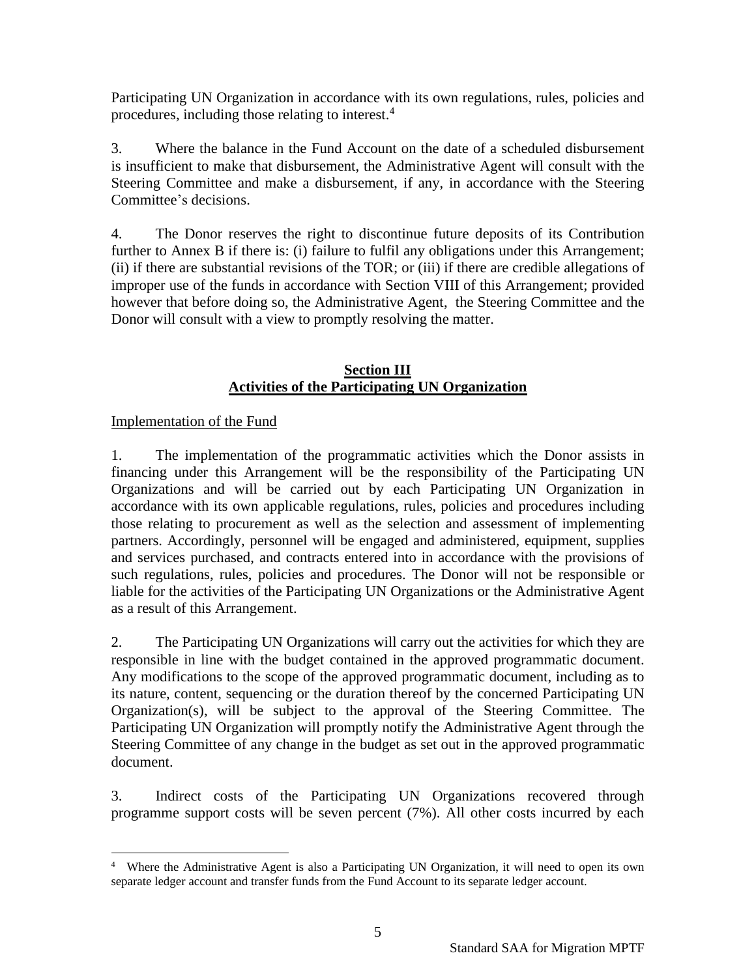Participating UN Organization in accordance with its own regulations, rules, policies and procedures, including those relating to interest. 4

3. Where the balance in the Fund Account on the date of a scheduled disbursement is insufficient to make that disbursement, the Administrative Agent will consult with the Steering Committee and make a disbursement, if any, in accordance with the Steering Committee's decisions.

4. The Donor reserves the right to discontinue future deposits of its Contribution further to Annex B if there is: (i) failure to fulfil any obligations under this Arrangement; (ii) if there are substantial revisions of the TOR; or (iii) if there are credible allegations of improper use of the funds in accordance with Section VIII of this Arrangement; provided however that before doing so, the Administrative Agent, the Steering Committee and the Donor will consult with a view to promptly resolving the matter.

#### **Section III Activities of the Participating UN Organization**

## Implementation of the Fund

1. The implementation of the programmatic activities which the Donor assists in financing under this Arrangement will be the responsibility of the Participating UN Organizations and will be carried out by each Participating UN Organization in accordance with its own applicable regulations, rules, policies and procedures including those relating to procurement as well as the selection and assessment of implementing partners. Accordingly, personnel will be engaged and administered, equipment, supplies and services purchased, and contracts entered into in accordance with the provisions of such regulations, rules, policies and procedures. The Donor will not be responsible or liable for the activities of the Participating UN Organizations or the Administrative Agent as a result of this Arrangement.

2. The Participating UN Organizations will carry out the activities for which they are responsible in line with the budget contained in the approved programmatic document. Any modifications to the scope of the approved programmatic document, including as to its nature, content, sequencing or the duration thereof by the concerned Participating UN Organization(s), will be subject to the approval of the Steering Committee. The Participating UN Organization will promptly notify the Administrative Agent through the Steering Committee of any change in the budget as set out in the approved programmatic document.

3. Indirect costs of the Participating UN Organizations recovered through programme support costs will be seven percent (7%). All other costs incurred by each

<sup>4</sup> Where the Administrative Agent is also a Participating UN Organization, it will need to open its own separate ledger account and transfer funds from the Fund Account to its separate ledger account.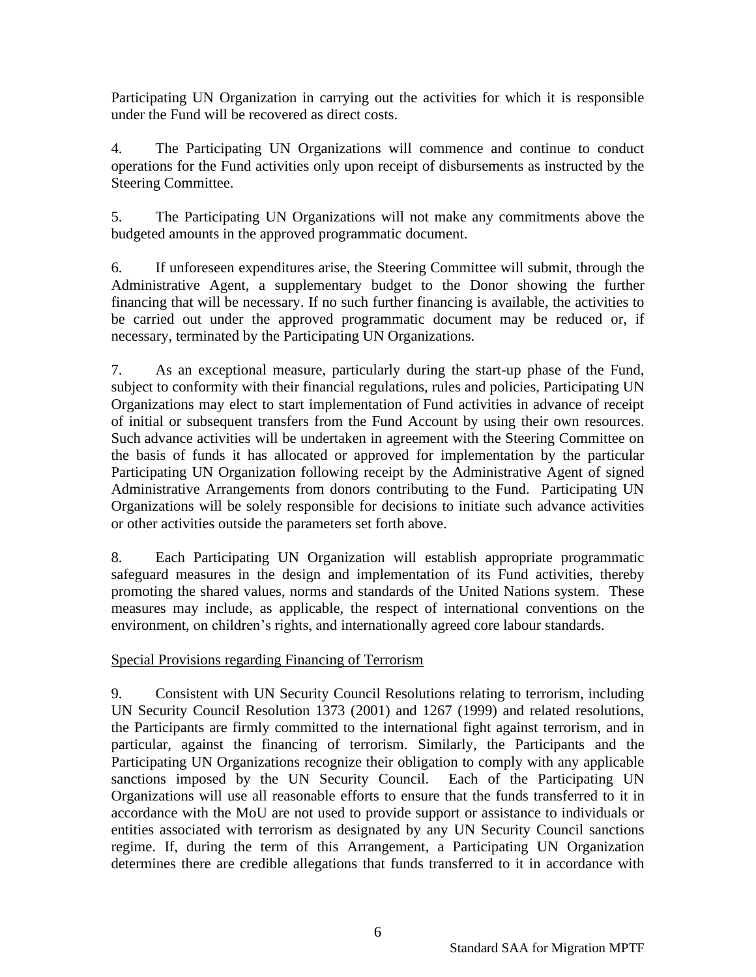Participating UN Organization in carrying out the activities for which it is responsible under the Fund will be recovered as direct costs.

4. The Participating UN Organizations will commence and continue to conduct operations for the Fund activities only upon receipt of disbursements as instructed by the Steering Committee.

5. The Participating UN Organizations will not make any commitments above the budgeted amounts in the approved programmatic document.

6. If unforeseen expenditures arise, the Steering Committee will submit, through the Administrative Agent, a supplementary budget to the Donor showing the further financing that will be necessary. If no such further financing is available, the activities to be carried out under the approved programmatic document may be reduced or, if necessary, terminated by the Participating UN Organizations.

7. As an exceptional measure, particularly during the start-up phase of the Fund, subject to conformity with their financial regulations, rules and policies, Participating UN Organizations may elect to start implementation of Fund activities in advance of receipt of initial or subsequent transfers from the Fund Account by using their own resources. Such advance activities will be undertaken in agreement with the Steering Committee on the basis of funds it has allocated or approved for implementation by the particular Participating UN Organization following receipt by the Administrative Agent of signed Administrative Arrangements from donors contributing to the Fund. Participating UN Organizations will be solely responsible for decisions to initiate such advance activities or other activities outside the parameters set forth above.

8. Each Participating UN Organization will establish appropriate programmatic safeguard measures in the design and implementation of its Fund activities, thereby promoting the shared values, norms and standards of the United Nations system. These measures may include, as applicable, the respect of international conventions on the environment, on children's rights, and internationally agreed core labour standards.

# Special Provisions regarding Financing of Terrorism

9. Consistent with UN Security Council Resolutions relating to terrorism, including UN Security Council Resolution 1373 (2001) and 1267 (1999) and related resolutions, the Participants are firmly committed to the international fight against terrorism, and in particular, against the financing of terrorism. Similarly, the Participants and the Participating UN Organizations recognize their obligation to comply with any applicable sanctions imposed by the UN Security Council. Each of the Participating UN Organizations will use all reasonable efforts to ensure that the funds transferred to it in accordance with the MoU are not used to provide support or assistance to individuals or entities associated with terrorism as designated by any UN Security Council sanctions regime. If, during the term of this Arrangement, a Participating UN Organization determines there are credible allegations that funds transferred to it in accordance with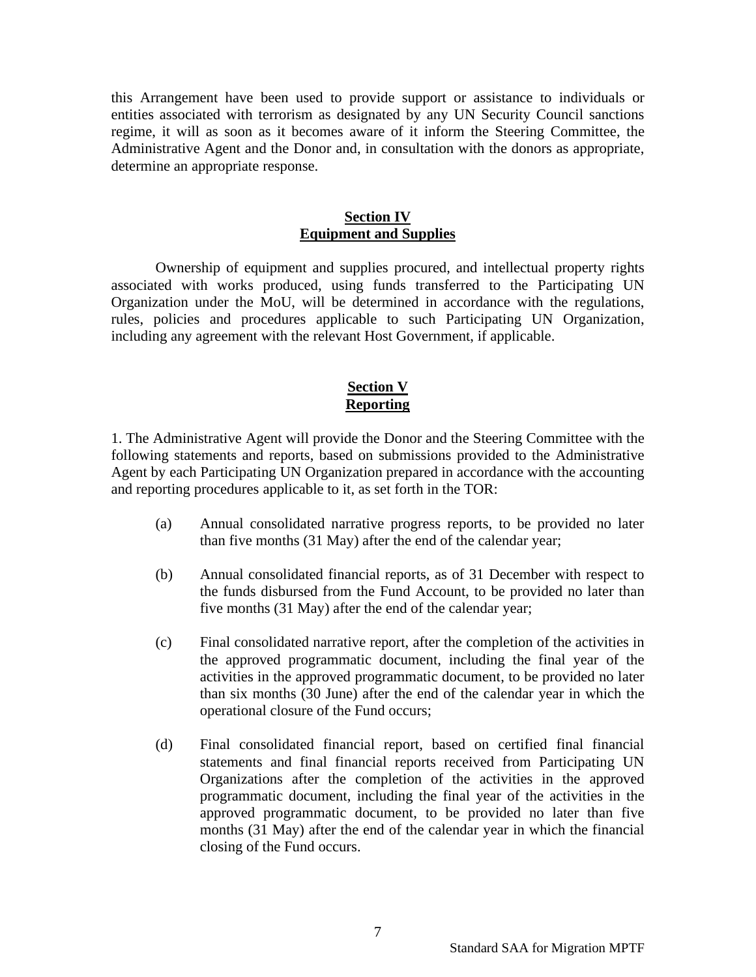this Arrangement have been used to provide support or assistance to individuals or entities associated with terrorism as designated by any UN Security Council sanctions regime, it will as soon as it becomes aware of it inform the Steering Committee, the Administrative Agent and the Donor and, in consultation with the donors as appropriate, determine an appropriate response.

#### **Section IV Equipment and Supplies**

Ownership of equipment and supplies procured, and intellectual property rights associated with works produced, using funds transferred to the Participating UN Organization under the MoU, will be determined in accordance with the regulations, rules, policies and procedures applicable to such Participating UN Organization, including any agreement with the relevant Host Government, if applicable.

## **Section V Reporting**

1. The Administrative Agent will provide the Donor and the Steering Committee with the following statements and reports, based on submissions provided to the Administrative Agent by each Participating UN Organization prepared in accordance with the accounting and reporting procedures applicable to it, as set forth in the TOR:

- (a) Annual consolidated narrative progress reports, to be provided no later than five months (31 May) after the end of the calendar year;
- (b) Annual consolidated financial reports, as of 31 December with respect to the funds disbursed from the Fund Account, to be provided no later than five months (31 May) after the end of the calendar year;
- (c) Final consolidated narrative report, after the completion of the activities in the approved programmatic document, including the final year of the activities in the approved programmatic document, to be provided no later than six months (30 June) after the end of the calendar year in which the operational closure of the Fund occurs;
- (d) Final consolidated financial report, based on certified final financial statements and final financial reports received from Participating UN Organizations after the completion of the activities in the approved programmatic document, including the final year of the activities in the approved programmatic document, to be provided no later than five months (31 May) after the end of the calendar year in which the financial closing of the Fund occurs.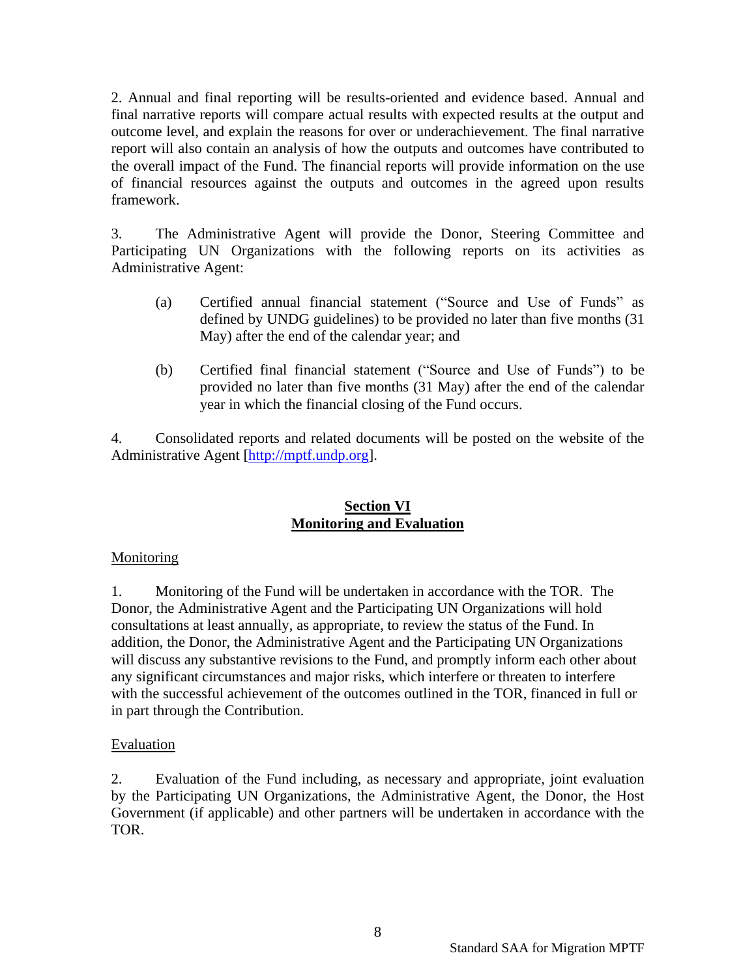2. Annual and final reporting will be results-oriented and evidence based. Annual and final narrative reports will compare actual results with expected results at the output and outcome level, and explain the reasons for over or underachievement. The final narrative report will also contain an analysis of how the outputs and outcomes have contributed to the overall impact of the Fund. The financial reports will provide information on the use of financial resources against the outputs and outcomes in the agreed upon results framework.

3. The Administrative Agent will provide the Donor, Steering Committee and Participating UN Organizations with the following reports on its activities as Administrative Agent:

- (a) Certified annual financial statement ("Source and Use of Funds" as defined by UNDG guidelines) to be provided no later than five months (31 May) after the end of the calendar year; and
- (b) Certified final financial statement ("Source and Use of Funds") to be provided no later than five months (31 May) after the end of the calendar year in which the financial closing of the Fund occurs.

4. Consolidated reports and related documents will be posted on the website of the Administrative Agent [\[http://mptf.undp.org\]](http://mptf.undp.org/).

# **Section VI Monitoring and Evaluation**

# **Monitoring**

1. Monitoring of the Fund will be undertaken in accordance with the TOR. The Donor, the Administrative Agent and the Participating UN Organizations will hold consultations at least annually, as appropriate, to review the status of the Fund. In addition, the Donor, the Administrative Agent and the Participating UN Organizations will discuss any substantive revisions to the Fund, and promptly inform each other about any significant circumstances and major risks, which interfere or threaten to interfere with the successful achievement of the outcomes outlined in the TOR, financed in full or in part through the Contribution.

# Evaluation

2. Evaluation of the Fund including, as necessary and appropriate, joint evaluation by the Participating UN Organizations, the Administrative Agent, the Donor, the Host Government (if applicable) and other partners will be undertaken in accordance with the TOR.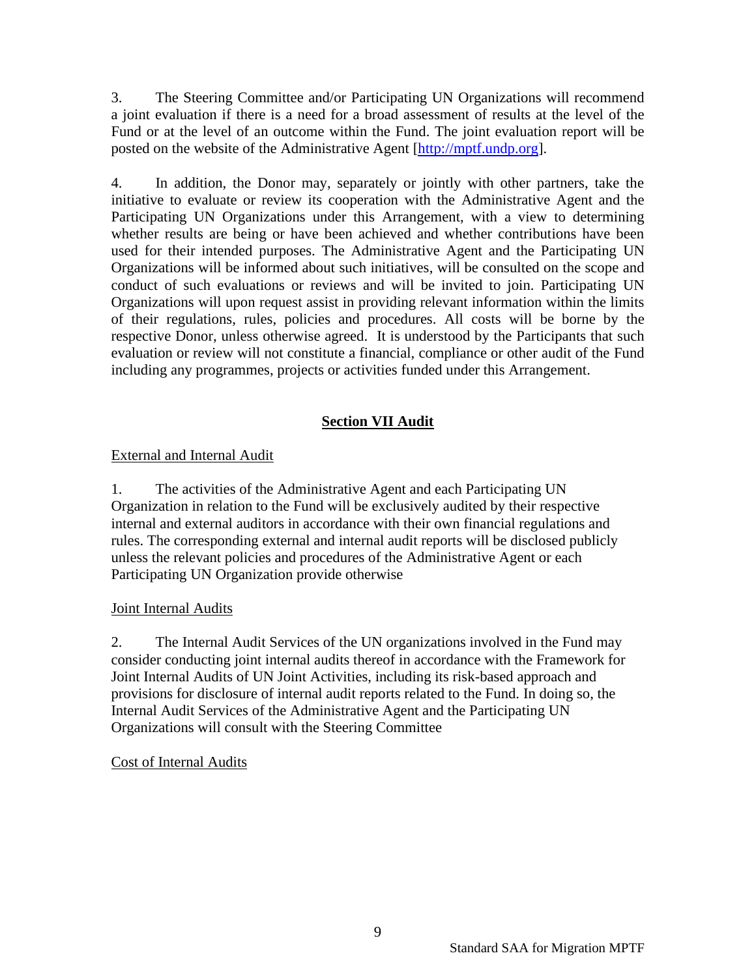3. The Steering Committee and/or Participating UN Organizations will recommend a joint evaluation if there is a need for a broad assessment of results at the level of the Fund or at the level of an outcome within the Fund. The joint evaluation report will be posted on the website of the Administrative Agent [\[http://mptf.undp.org\]](http://mptf.undp.org/).

4. In addition, the Donor may, separately or jointly with other partners, take the initiative to evaluate or review its cooperation with the Administrative Agent and the Participating UN Organizations under this Arrangement, with a view to determining whether results are being or have been achieved and whether contributions have been used for their intended purposes. The Administrative Agent and the Participating UN Organizations will be informed about such initiatives, will be consulted on the scope and conduct of such evaluations or reviews and will be invited to join. Participating UN Organizations will upon request assist in providing relevant information within the limits of their regulations, rules, policies and procedures. All costs will be borne by the respective Donor, unless otherwise agreed. It is understood by the Participants that such evaluation or review will not constitute a financial, compliance or other audit of the Fund including any programmes, projects or activities funded under this Arrangement.

# **Section VII Audit**

# External and Internal Audit

1. The activities of the Administrative Agent and each Participating UN Organization in relation to the Fund will be exclusively audited by their respective internal and external auditors in accordance with their own financial regulations and rules. The corresponding external and internal audit reports will be disclosed publicly unless the relevant policies and procedures of the Administrative Agent or each Participating UN Organization provide otherwise

# Joint Internal Audits

2. The Internal Audit Services of the UN organizations involved in the Fund may consider conducting joint internal audits thereof in accordance with the Framework for Joint Internal Audits of UN Joint Activities, including its risk-based approach and provisions for disclosure of internal audit reports related to the Fund. In doing so, the Internal Audit Services of the Administrative Agent and the Participating UN Organizations will consult with the Steering Committee

# Cost of Internal Audits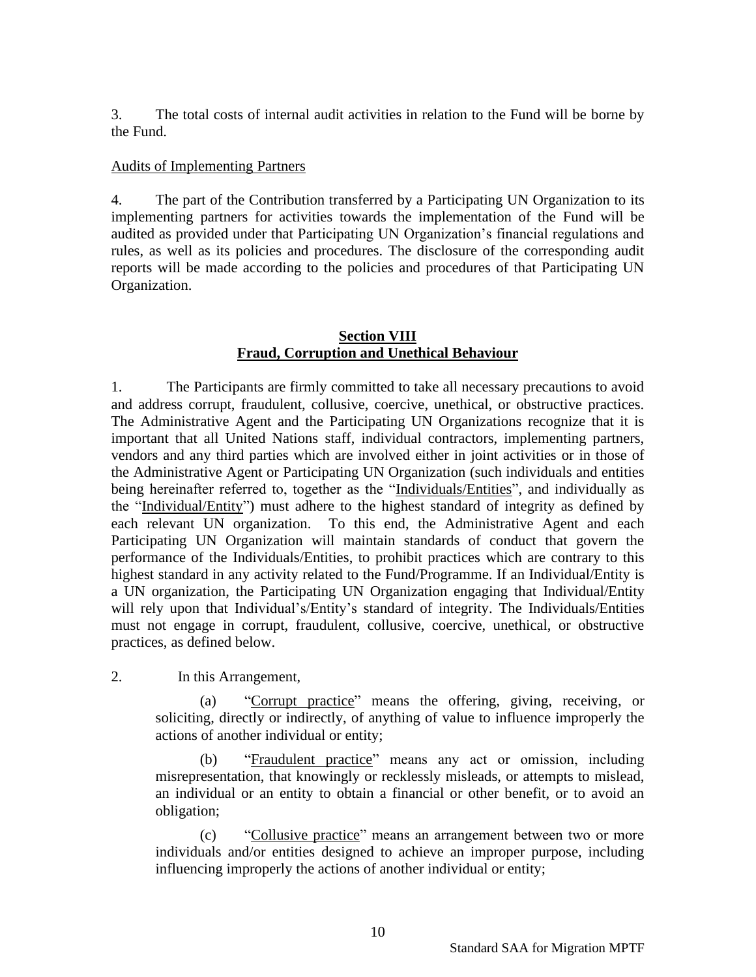3. The total costs of internal audit activities in relation to the Fund will be borne by the Fund.

#### Audits of Implementing Partners

4. The part of the Contribution transferred by a Participating UN Organization to its implementing partners for activities towards the implementation of the Fund will be audited as provided under that Participating UN Organization's financial regulations and rules, as well as its policies and procedures. The disclosure of the corresponding audit reports will be made according to the policies and procedures of that Participating UN Organization.

#### **Section VIII Fraud, Corruption and Unethical Behaviour**

1. The Participants are firmly committed to take all necessary precautions to avoid and address corrupt, fraudulent, collusive, coercive, unethical, or obstructive practices. The Administrative Agent and the Participating UN Organizations recognize that it is important that all United Nations staff, individual contractors, implementing partners, vendors and any third parties which are involved either in joint activities or in those of the Administrative Agent or Participating UN Organization (such individuals and entities being hereinafter referred to, together as the "Individuals/Entities", and individually as the "Individual/Entity") must adhere to the highest standard of integrity as defined by each relevant UN organization. To this end, the Administrative Agent and each Participating UN Organization will maintain standards of conduct that govern the performance of the Individuals/Entities, to prohibit practices which are contrary to this highest standard in any activity related to the Fund/Programme. If an Individual/Entity is a UN organization, the Participating UN Organization engaging that Individual/Entity will rely upon that Individual's/Entity's standard of integrity. The Individuals/Entities must not engage in corrupt, fraudulent, collusive, coercive, unethical, or obstructive practices, as defined below.

2. In this Arrangement,

(a) "Corrupt practice" means the offering, giving, receiving, or soliciting, directly or indirectly, of anything of value to influence improperly the actions of another individual or entity;

(b) "Fraudulent practice" means any act or omission, including misrepresentation, that knowingly or recklessly misleads, or attempts to mislead, an individual or an entity to obtain a financial or other benefit, or to avoid an obligation;

(c) "Collusive practice" means an arrangement between two or more individuals and/or entities designed to achieve an improper purpose, including influencing improperly the actions of another individual or entity;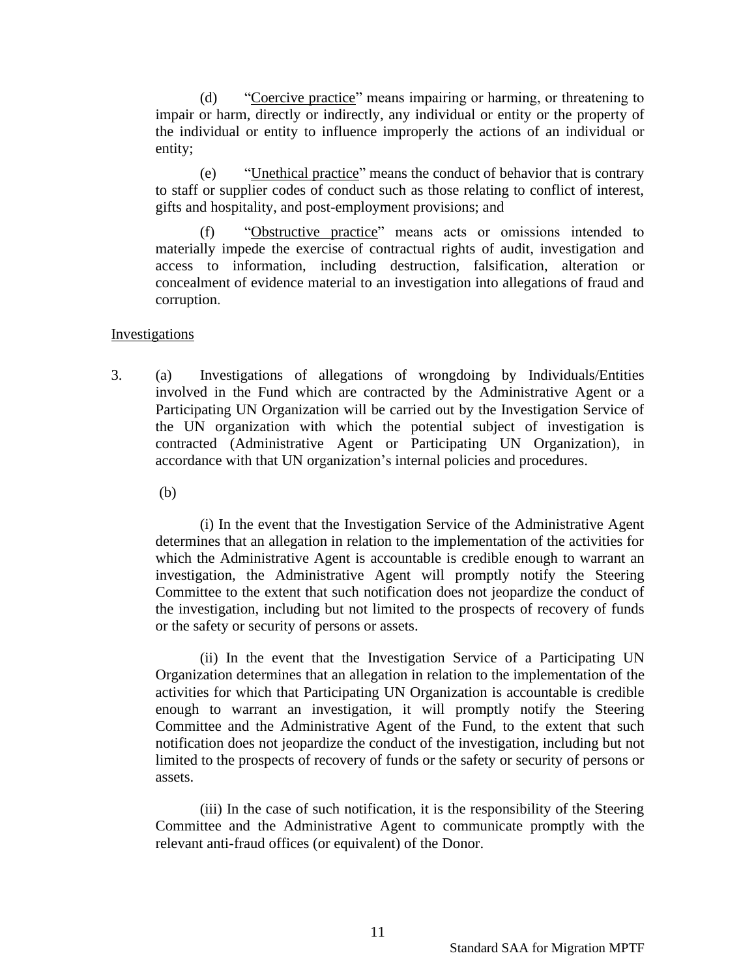(d) "Coercive practice" means impairing or harming, or threatening to impair or harm, directly or indirectly, any individual or entity or the property of the individual or entity to influence improperly the actions of an individual or entity;

(e) "Unethical practice" means the conduct of behavior that is contrary to staff or supplier codes of conduct such as those relating to conflict of interest, gifts and hospitality, and post-employment provisions; and

(f) "Obstructive practice" means acts or omissions intended to materially impede the exercise of contractual rights of audit, investigation and access to information, including destruction, falsification, alteration or concealment of evidence material to an investigation into allegations of fraud and corruption.

#### Investigations

3. (a) Investigations of allegations of wrongdoing by Individuals/Entities involved in the Fund which are contracted by the Administrative Agent or a Participating UN Organization will be carried out by the Investigation Service of the UN organization with which the potential subject of investigation is contracted (Administrative Agent or Participating UN Organization), in accordance with that UN organization's internal policies and procedures.

(b)

(i) In the event that the Investigation Service of the Administrative Agent determines that an allegation in relation to the implementation of the activities for which the Administrative Agent is accountable is credible enough to warrant an investigation, the Administrative Agent will promptly notify the Steering Committee to the extent that such notification does not jeopardize the conduct of the investigation, including but not limited to the prospects of recovery of funds or the safety or security of persons or assets.

(ii) In the event that the Investigation Service of a Participating UN Organization determines that an allegation in relation to the implementation of the activities for which that Participating UN Organization is accountable is credible enough to warrant an investigation, it will promptly notify the Steering Committee and the Administrative Agent of the Fund, to the extent that such notification does not jeopardize the conduct of the investigation, including but not limited to the prospects of recovery of funds or the safety or security of persons or assets.

(iii) In the case of such notification, it is the responsibility of the Steering Committee and the Administrative Agent to communicate promptly with the relevant anti-fraud offices (or equivalent) of the Donor.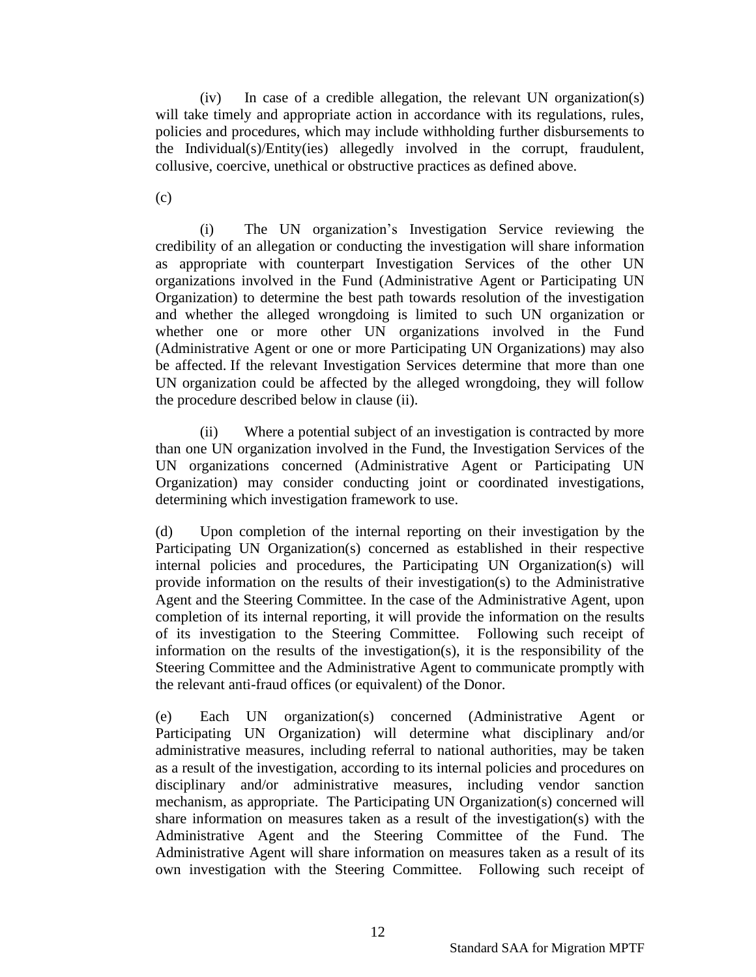(iv) In case of a credible allegation, the relevant UN organization(s) will take timely and appropriate action in accordance with its regulations, rules, policies and procedures, which may include withholding further disbursements to the Individual(s)/Entity(ies) allegedly involved in the corrupt, fraudulent, collusive, coercive, unethical or obstructive practices as defined above.

(c)

(i) The UN organization's Investigation Service reviewing the credibility of an allegation or conducting the investigation will share information as appropriate with counterpart Investigation Services of the other UN organizations involved in the Fund (Administrative Agent or Participating UN Organization) to determine the best path towards resolution of the investigation and whether the alleged wrongdoing is limited to such UN organization or whether one or more other UN organizations involved in the Fund (Administrative Agent or one or more Participating UN Organizations) may also be affected. If the relevant Investigation Services determine that more than one UN organization could be affected by the alleged wrongdoing, they will follow the procedure described below in clause (ii).

(ii) Where a potential subject of an investigation is contracted by more than one UN organization involved in the Fund, the Investigation Services of the UN organizations concerned (Administrative Agent or Participating UN Organization) may consider conducting joint or coordinated investigations, determining which investigation framework to use.

(d) Upon completion of the internal reporting on their investigation by the Participating UN Organization(s) concerned as established in their respective internal policies and procedures, the Participating UN Organization(s) will provide information on the results of their investigation(s) to the Administrative Agent and the Steering Committee. In the case of the Administrative Agent, upon completion of its internal reporting, it will provide the information on the results of its investigation to the Steering Committee. Following such receipt of information on the results of the investigation(s), it is the responsibility of the Steering Committee and the Administrative Agent to communicate promptly with the relevant anti-fraud offices (or equivalent) of the Donor.

(e) Each UN organization(s) concerned (Administrative Agent or Participating UN Organization) will determine what disciplinary and/or administrative measures, including referral to national authorities, may be taken as a result of the investigation, according to its internal policies and procedures on disciplinary and/or administrative measures, including vendor sanction mechanism, as appropriate. The Participating UN Organization(s) concerned will share information on measures taken as a result of the investigation(s) with the Administrative Agent and the Steering Committee of the Fund. The Administrative Agent will share information on measures taken as a result of its own investigation with the Steering Committee. Following such receipt of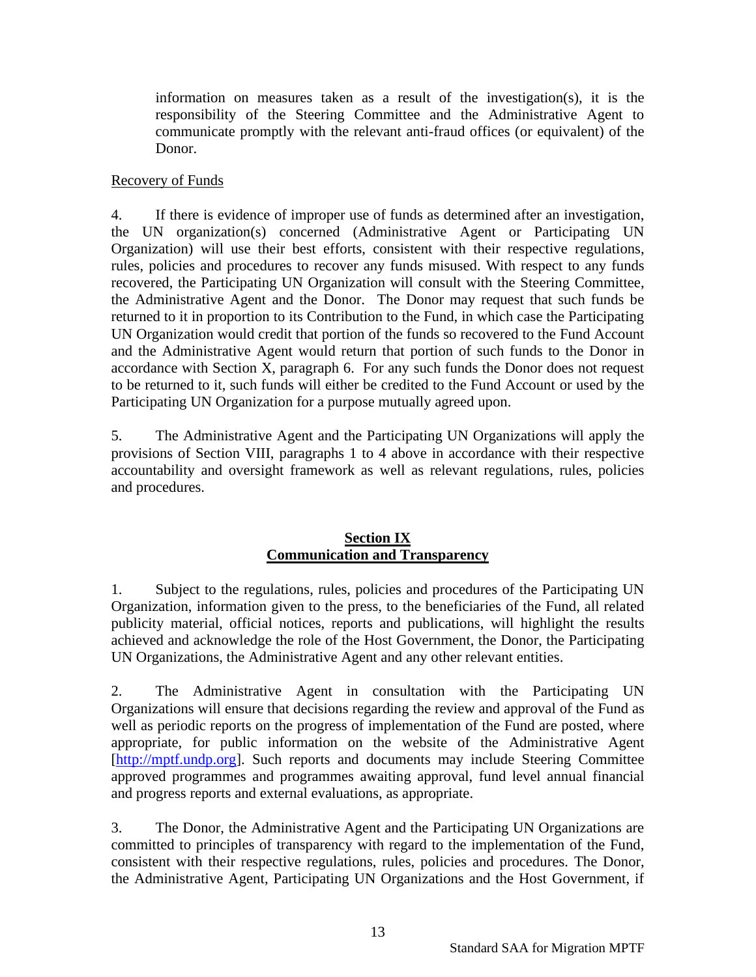information on measures taken as a result of the investigation(s), it is the responsibility of the Steering Committee and the Administrative Agent to communicate promptly with the relevant anti-fraud offices (or equivalent) of the Donor.

# Recovery of Funds

4. If there is evidence of improper use of funds as determined after an investigation, the UN organization(s) concerned (Administrative Agent or Participating UN Organization) will use their best efforts, consistent with their respective regulations, rules, policies and procedures to recover any funds misused. With respect to any funds recovered, the Participating UN Organization will consult with the Steering Committee, the Administrative Agent and the Donor. The Donor may request that such funds be returned to it in proportion to its Contribution to the Fund, in which case the Participating UN Organization would credit that portion of the funds so recovered to the Fund Account and the Administrative Agent would return that portion of such funds to the Donor in accordance with Section X, paragraph 6. For any such funds the Donor does not request to be returned to it, such funds will either be credited to the Fund Account or used by the Participating UN Organization for a purpose mutually agreed upon.

5. The Administrative Agent and the Participating UN Organizations will apply the provisions of Section VIII, paragraphs 1 to 4 above in accordance with their respective accountability and oversight framework as well as relevant regulations, rules, policies and procedures.

#### **Section IX Communication and Transparency**

1. Subject to the regulations, rules, policies and procedures of the Participating UN Organization, information given to the press, to the beneficiaries of the Fund, all related publicity material, official notices, reports and publications, will highlight the results achieved and acknowledge the role of the Host Government, the Donor, the Participating UN Organizations, the Administrative Agent and any other relevant entities.

2. The Administrative Agent in consultation with the Participating UN Organizations will ensure that decisions regarding the review and approval of the Fund as well as periodic reports on the progress of implementation of the Fund are posted, where appropriate, for public information on the website of the Administrative Agent [\[http://mptf.undp.org\]](http://mptf.undp.org/). Such reports and documents may include Steering Committee approved programmes and programmes awaiting approval, fund level annual financial and progress reports and external evaluations, as appropriate.

3. The Donor, the Administrative Agent and the Participating UN Organizations are committed to principles of transparency with regard to the implementation of the Fund, consistent with their respective regulations, rules, policies and procedures. The Donor, the Administrative Agent, Participating UN Organizations and the Host Government, if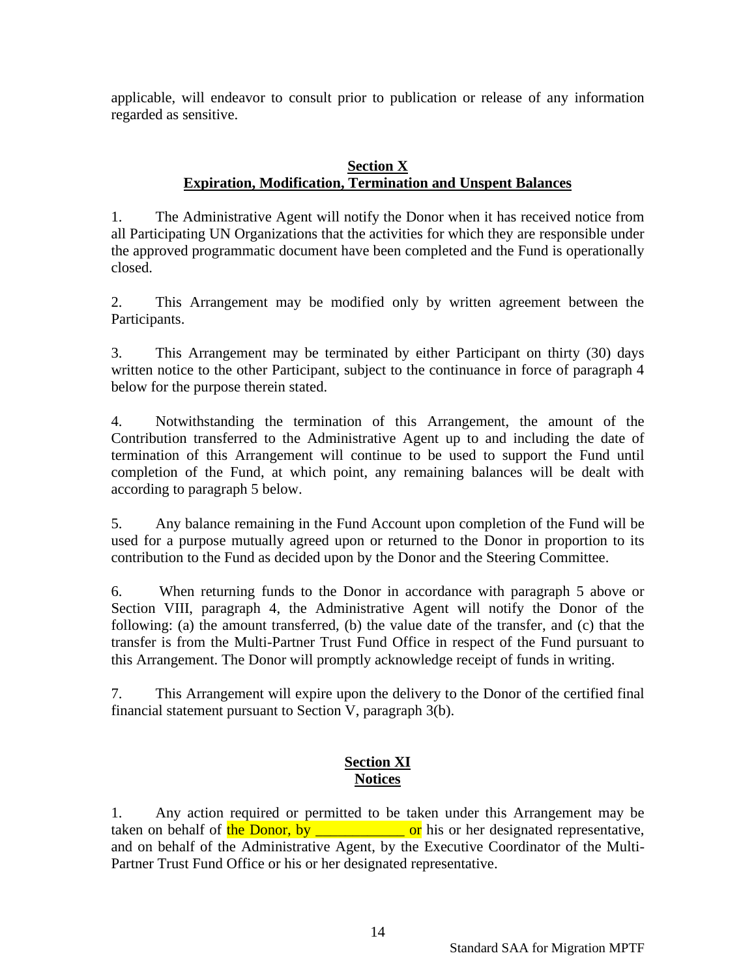applicable, will endeavor to consult prior to publication or release of any information regarded as sensitive.

## **Section X Expiration, Modification, Termination and Unspent Balances**

1. The Administrative Agent will notify the Donor when it has received notice from all Participating UN Organizations that the activities for which they are responsible under the approved programmatic document have been completed and the Fund is operationally closed.

2. This Arrangement may be modified only by written agreement between the Participants.

3. This Arrangement may be terminated by either Participant on thirty (30) days written notice to the other Participant, subject to the continuance in force of paragraph 4 below for the purpose therein stated.

4. Notwithstanding the termination of this Arrangement, the amount of the Contribution transferred to the Administrative Agent up to and including the date of termination of this Arrangement will continue to be used to support the Fund until completion of the Fund, at which point, any remaining balances will be dealt with according to paragraph 5 below.

5. Any balance remaining in the Fund Account upon completion of the Fund will be used for a purpose mutually agreed upon or returned to the Donor in proportion to its contribution to the Fund as decided upon by the Donor and the Steering Committee.

6. When returning funds to the Donor in accordance with paragraph 5 above or Section VIII, paragraph 4, the Administrative Agent will notify the Donor of the following: (a) the amount transferred, (b) the value date of the transfer, and (c) that the transfer is from the Multi-Partner Trust Fund Office in respect of the Fund pursuant to this Arrangement. The Donor will promptly acknowledge receipt of funds in writing.

7. This Arrangement will expire upon the delivery to the Donor of the certified final financial statement pursuant to Section V, paragraph 3(b).

# **Section XI Notices**

1. Any action required or permitted to be taken under this Arrangement may be taken on behalf of the Donor, by  $\overrightarrow{or}$  his or her designated representative, and on behalf of the Administrative Agent, by the Executive Coordinator of the Multi-Partner Trust Fund Office or his or her designated representative.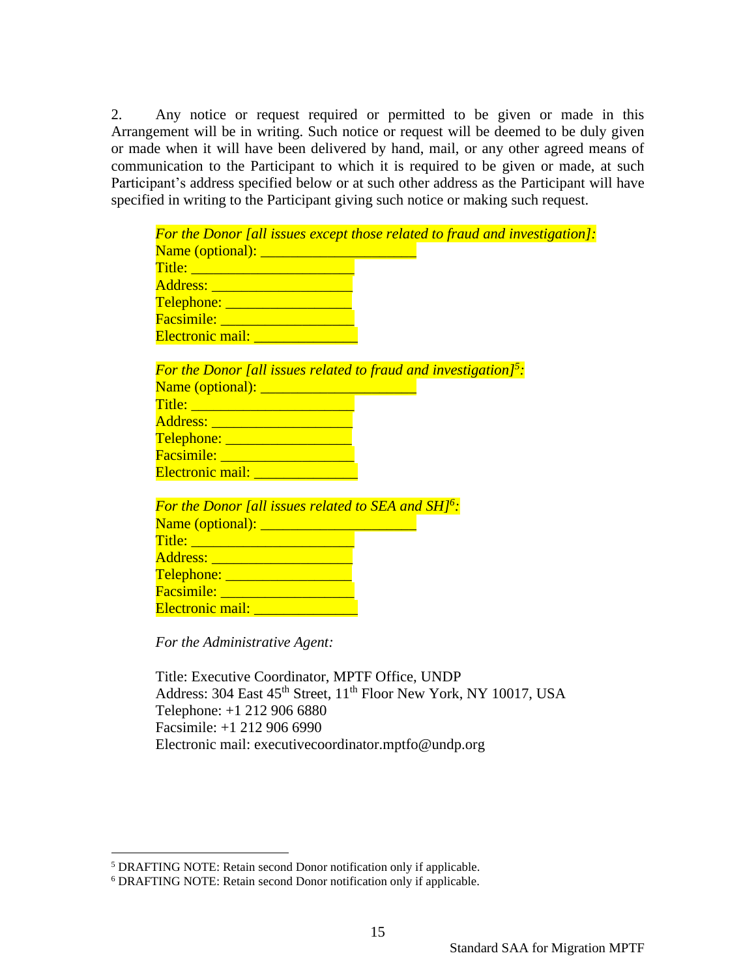2. Any notice or request required or permitted to be given or made in this Arrangement will be in writing. Such notice or request will be deemed to be duly given or made when it will have been delivered by hand, mail, or any other agreed means of communication to the Participant to which it is required to be given or made, at such Participant's address specified below or at such other address as the Participant will have specified in writing to the Participant giving such notice or making such request.

| <b>For the Donor [all issues except those related to fraud and investigation]:</b>                             |
|----------------------------------------------------------------------------------------------------------------|
|                                                                                                                |
| Title: 2008 - 2009 - 2010 - 2010 - 2011 - 2012 - 2012 - 2014 - 2014 - 2014 - 2014 - 2014 - 2014 - 2014 - 2014  |
| Address: <u>________________________</u>                                                                       |
| Telephone: <u>Communication of</u>                                                                             |
| Facsimile: <u>____________________</u>                                                                         |
| Electronic mail: _______________                                                                               |
|                                                                                                                |
| For the Donor [all issues related to fraud and investigation] <sup>5</sup> :                                   |
|                                                                                                                |
| Title: 2008 2009 2009 2009 2009 2010 2021 2022 2023 2024 2022 2023 2024 2022 2023 2024 2022 2023 2024 2025 202 |
| Address: <u>______________________</u>                                                                         |
| Telephone: <u>Annual American Property</u>                                                                     |
| Facsimile: <u>____________________</u>                                                                         |
| <b>Electronic mail: Electronic mail:</b>                                                                       |
|                                                                                                                |
| <b>For the Donor [all issues related to SEA and SH]<sup>6</sup>:</b>                                           |
|                                                                                                                |
|                                                                                                                |
|                                                                                                                |
| Telephone: <u>____________________</u>                                                                         |
| Facsimile: <u>_____________________</u>                                                                        |
| Electronic mail: <u>Electronic mail:</u>                                                                       |
|                                                                                                                |

*For the Administrative Agent:*

Title: Executive Coordinator, MPTF Office, UNDP Address: 304 East 45<sup>th</sup> Street, 11<sup>th</sup> Floor New York, NY 10017, USA Telephone: +1 212 906 6880 Facsimile: +1 212 906 6990 Electronic mail: executivecoordinator.mptfo@undp.org

15

<sup>5</sup> DRAFTING NOTE: Retain second Donor notification only if applicable.

<sup>6</sup> DRAFTING NOTE: Retain second Donor notification only if applicable.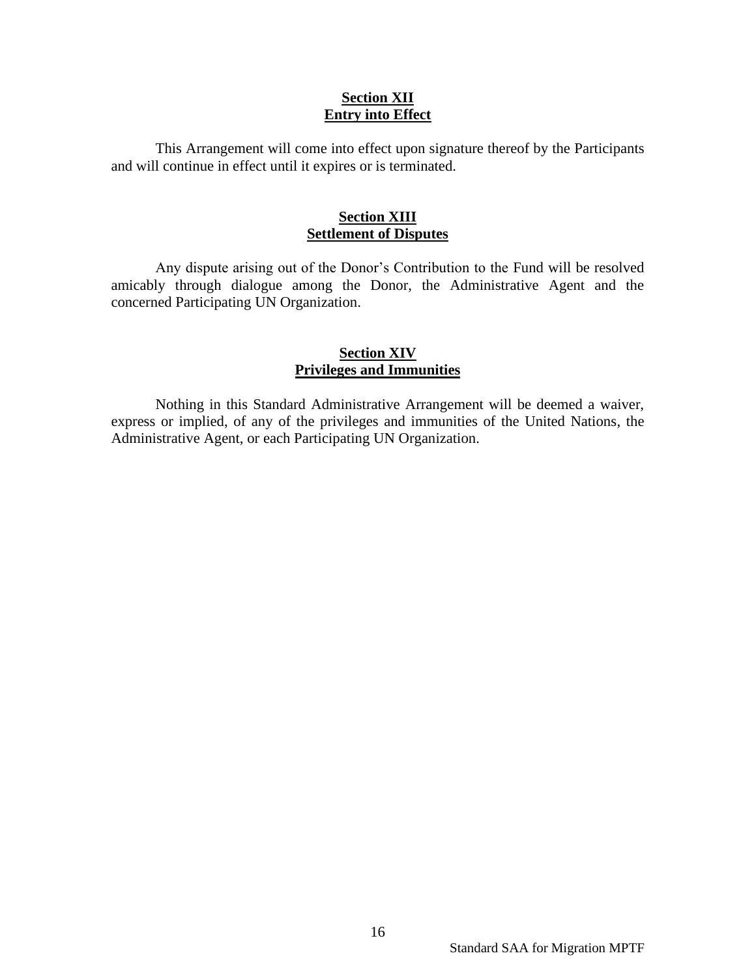#### **Section XII Entry into Effect**

This Arrangement will come into effect upon signature thereof by the Participants and will continue in effect until it expires or is terminated.

#### **Section XIII Settlement of Disputes**

Any dispute arising out of the Donor's Contribution to the Fund will be resolved amicably through dialogue among the Donor, the Administrative Agent and the concerned Participating UN Organization.

#### **Section XIV Privileges and Immunities**

Nothing in this Standard Administrative Arrangement will be deemed a waiver, express or implied, of any of the privileges and immunities of the United Nations, the Administrative Agent, or each Participating UN Organization.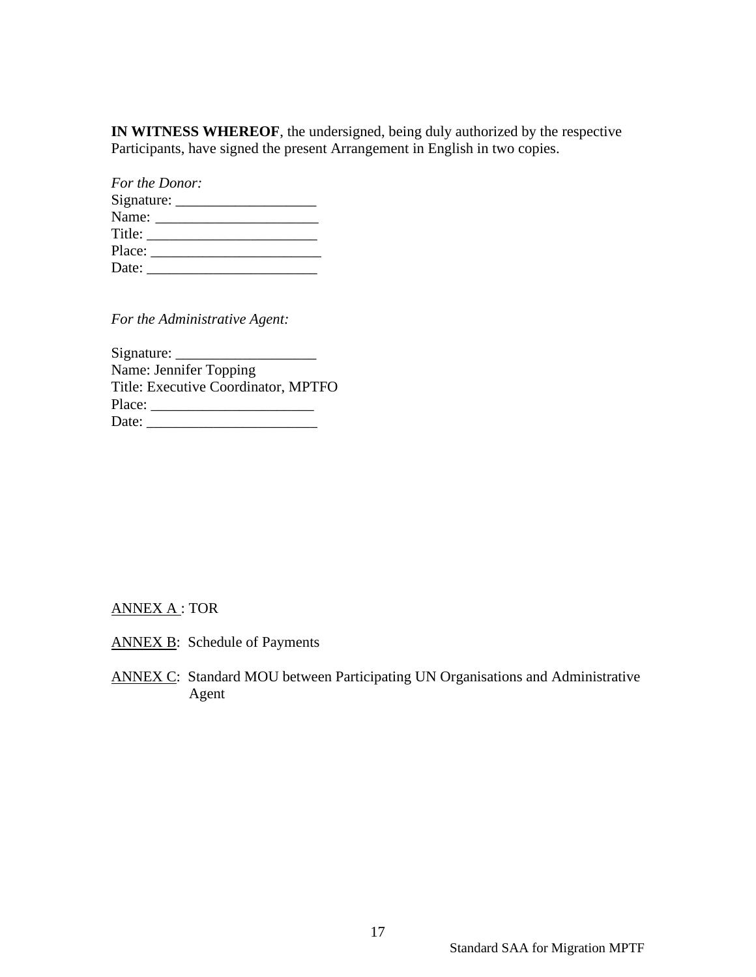**IN WITNESS WHEREOF**, the undersigned, being duly authorized by the respective Participants, have signed the present Arrangement in English in two copies.

| For the Donor:                |  |
|-------------------------------|--|
|                               |  |
|                               |  |
| Title:                        |  |
| Place: <u>_______________</u> |  |
| Date:                         |  |

*For the Administrative Agent:*

| Signature:                          |  |
|-------------------------------------|--|
| Name: Jennifer Topping              |  |
| Title: Executive Coordinator, MPTFO |  |
| Place:                              |  |
| Date:                               |  |

## ANNEX A : TOR

- ANNEX B: Schedule of Payments
- ANNEX C: Standard MOU between Participating UN Organisations and Administrative Agent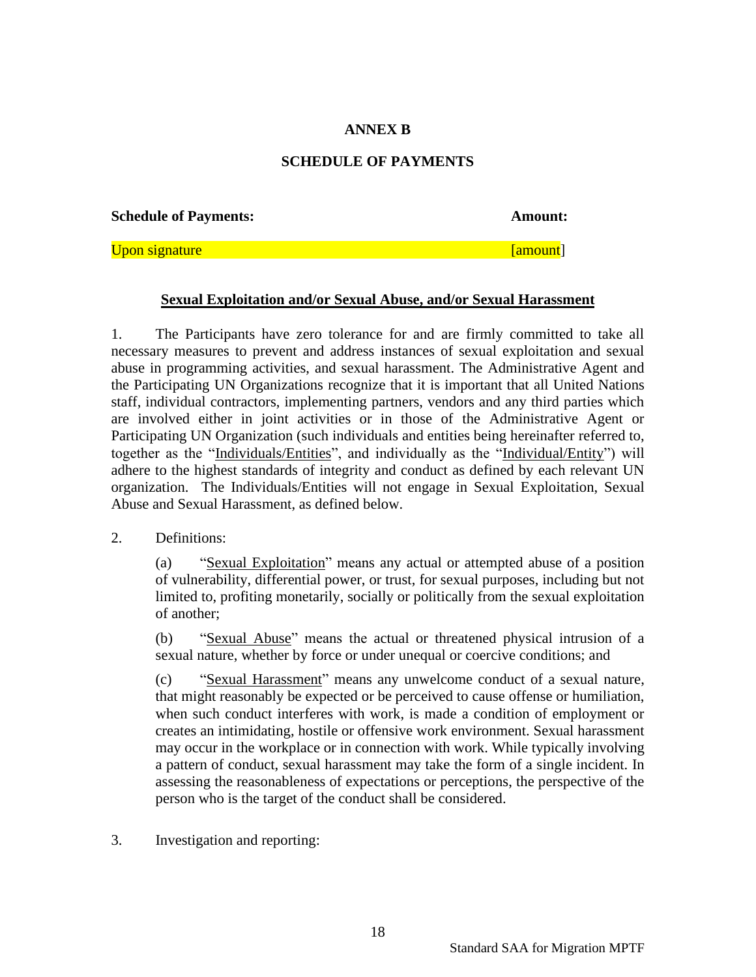# **ANNEX B**

#### **SCHEDULE OF PAYMENTS**

**Schedule of Payments: Amount:**

Upon signature **[amount]** 

#### **Sexual Exploitation and/or Sexual Abuse, and/or Sexual Harassment**

1. The Participants have zero tolerance for and are firmly committed to take all necessary measures to prevent and address instances of sexual exploitation and sexual abuse in programming activities, and sexual harassment. The Administrative Agent and the Participating UN Organizations recognize that it is important that all United Nations staff, individual contractors, implementing partners, vendors and any third parties which are involved either in joint activities or in those of the Administrative Agent or Participating UN Organization (such individuals and entities being hereinafter referred to, together as the "Individuals/Entities", and individually as the "Individual/Entity") will adhere to the highest standards of integrity and conduct as defined by each relevant UN organization. The Individuals/Entities will not engage in Sexual Exploitation, Sexual Abuse and Sexual Harassment, as defined below.

#### 2. Definitions:

(a) "Sexual Exploitation" means any actual or attempted abuse of a position of vulnerability, differential power, or trust, for sexual purposes, including but not limited to, profiting monetarily, socially or politically from the sexual exploitation of another;

(b) "Sexual Abuse" means the actual or threatened physical intrusion of a sexual nature, whether by force or under unequal or coercive conditions; and

(c) "Sexual Harassment" means any unwelcome conduct of a sexual nature, that might reasonably be expected or be perceived to cause offense or humiliation, when such conduct interferes with work, is made a condition of employment or creates an intimidating, hostile or offensive work environment. Sexual harassment may occur in the workplace or in connection with work. While typically involving a pattern of conduct, sexual harassment may take the form of a single incident. In assessing the reasonableness of expectations or perceptions, the perspective of the person who is the target of the conduct shall be considered.

3. Investigation and reporting: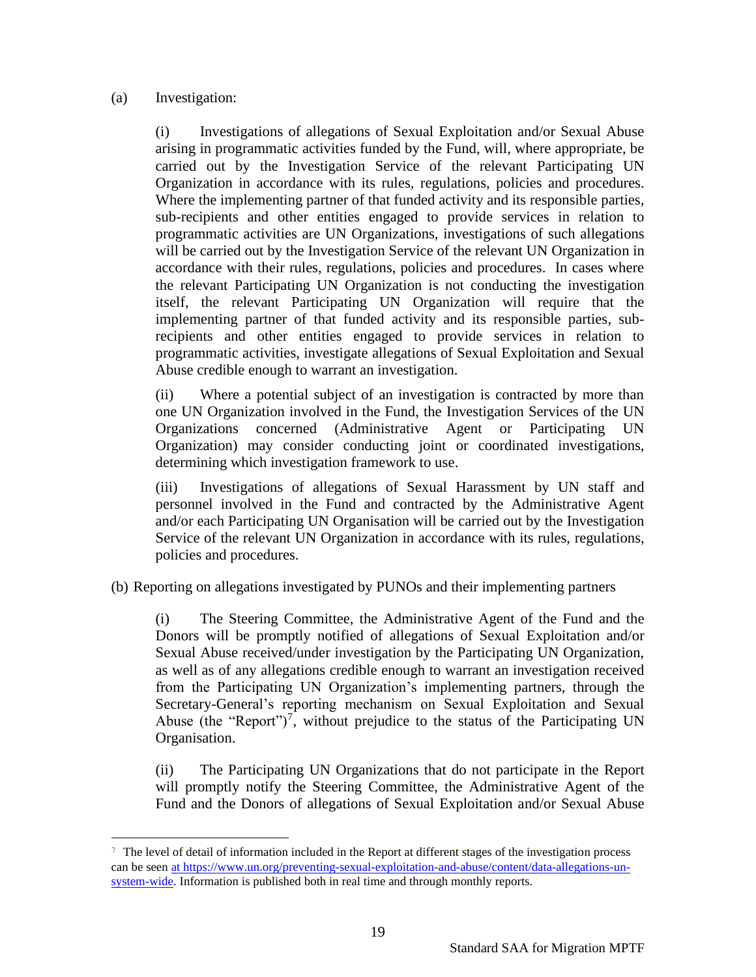## (a) Investigation:

(i) Investigations of allegations of Sexual Exploitation and/or Sexual Abuse arising in programmatic activities funded by the Fund, will, where appropriate, be carried out by the Investigation Service of the relevant Participating UN Organization in accordance with its rules, regulations, policies and procedures. Where the implementing partner of that funded activity and its responsible parties, sub-recipients and other entities engaged to provide services in relation to programmatic activities are UN Organizations, investigations of such allegations will be carried out by the Investigation Service of the relevant UN Organization in accordance with their rules, regulations, policies and procedures. In cases where the relevant Participating UN Organization is not conducting the investigation itself, the relevant Participating UN Organization will require that the implementing partner of that funded activity and its responsible parties, subrecipients and other entities engaged to provide services in relation to programmatic activities, investigate allegations of Sexual Exploitation and Sexual Abuse credible enough to warrant an investigation.

(ii) Where a potential subject of an investigation is contracted by more than one UN Organization involved in the Fund, the Investigation Services of the UN Organizations concerned (Administrative Agent or Participating UN Organization) may consider conducting joint or coordinated investigations, determining which investigation framework to use.

(iii) Investigations of allegations of Sexual Harassment by UN staff and personnel involved in the Fund and contracted by the Administrative Agent and/or each Participating UN Organisation will be carried out by the Investigation Service of the relevant UN Organization in accordance with its rules, regulations, policies and procedures.

(b) Reporting on allegations investigated by PUNOs and their implementing partners

(i) The Steering Committee, the Administrative Agent of the Fund and the Donors will be promptly notified of allegations of Sexual Exploitation and/or Sexual Abuse received/under investigation by the Participating UN Organization, as well as of any allegations credible enough to warrant an investigation received from the Participating UN Organization's implementing partners, through the Secretary-General's reporting mechanism on Sexual Exploitation and Sexual Abuse (the "Report")<sup>7</sup>, without prejudice to the status of the Participating UN Organisation.

(ii) The Participating UN Organizations that do not participate in the Report will promptly notify the Steering Committee, the Administrative Agent of the Fund and the Donors of allegations of Sexual Exploitation and/or Sexual Abuse

<sup>7</sup> The level of detail of information included in the Report at different stages of the investigation process can be seen at [https://www.un.org/preventing-sexual-exploitation-and-abuse/content/data-allegations-un](https://www.un.org/preventing-sexual-exploitation-and-abuse/content/data-allegations-un-system-wide)[system-wide.](https://www.un.org/preventing-sexual-exploitation-and-abuse/content/data-allegations-un-system-wide) Information is published both in real time and through monthly reports.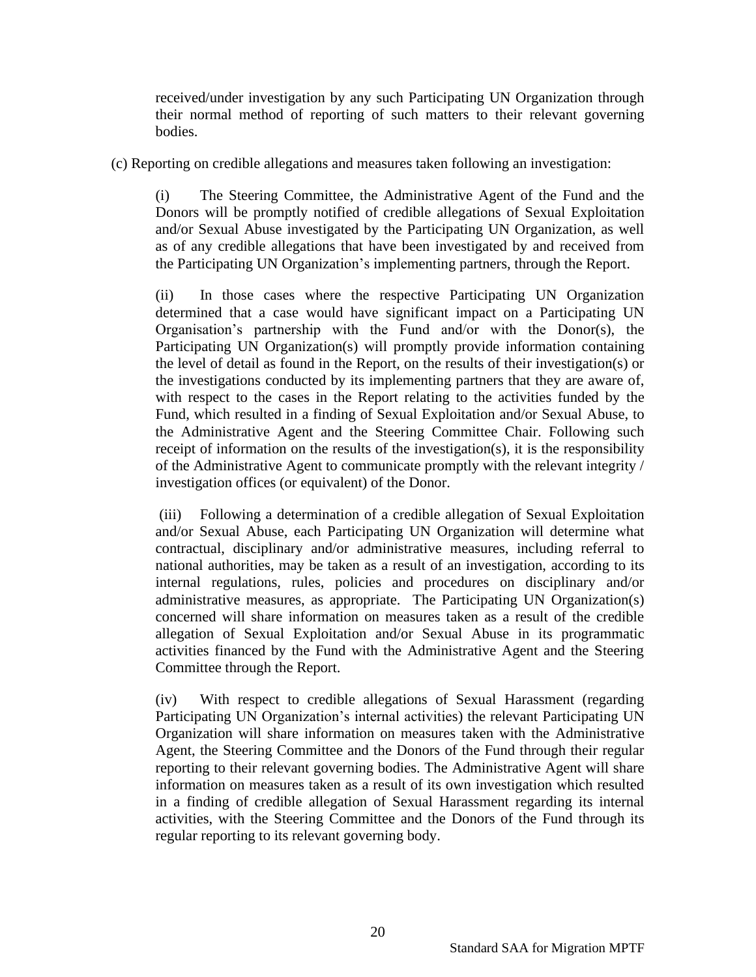received/under investigation by any such Participating UN Organization through their normal method of reporting of such matters to their relevant governing bodies.

(c) Reporting on credible allegations and measures taken following an investigation:

(i) The Steering Committee, the Administrative Agent of the Fund and the Donors will be promptly notified of credible allegations of Sexual Exploitation and/or Sexual Abuse investigated by the Participating UN Organization, as well as of any credible allegations that have been investigated by and received from the Participating UN Organization's implementing partners, through the Report.

(ii) In those cases where the respective Participating UN Organization determined that a case would have significant impact on a Participating UN Organisation's partnership with the Fund and/or with the Donor(s), the Participating UN Organization(s) will promptly provide information containing the level of detail as found in the Report, on the results of their investigation(s) or the investigations conducted by its implementing partners that they are aware of, with respect to the cases in the Report relating to the activities funded by the Fund, which resulted in a finding of Sexual Exploitation and/or Sexual Abuse, to the Administrative Agent and the Steering Committee Chair. Following such receipt of information on the results of the investigation(s), it is the responsibility of the Administrative Agent to communicate promptly with the relevant integrity / investigation offices (or equivalent) of the Donor.

(iii) Following a determination of a credible allegation of Sexual Exploitation and/or Sexual Abuse, each Participating UN Organization will determine what contractual, disciplinary and/or administrative measures, including referral to national authorities, may be taken as a result of an investigation, according to its internal regulations, rules, policies and procedures on disciplinary and/or administrative measures, as appropriate. The Participating UN Organization(s) concerned will share information on measures taken as a result of the credible allegation of Sexual Exploitation and/or Sexual Abuse in its programmatic activities financed by the Fund with the Administrative Agent and the Steering Committee through the Report.

(iv) With respect to credible allegations of Sexual Harassment (regarding Participating UN Organization's internal activities) the relevant Participating UN Organization will share information on measures taken with the Administrative Agent, the Steering Committee and the Donors of the Fund through their regular reporting to their relevant governing bodies. The Administrative Agent will share information on measures taken as a result of its own investigation which resulted in a finding of credible allegation of Sexual Harassment regarding its internal activities, with the Steering Committee and the Donors of the Fund through its regular reporting to its relevant governing body.